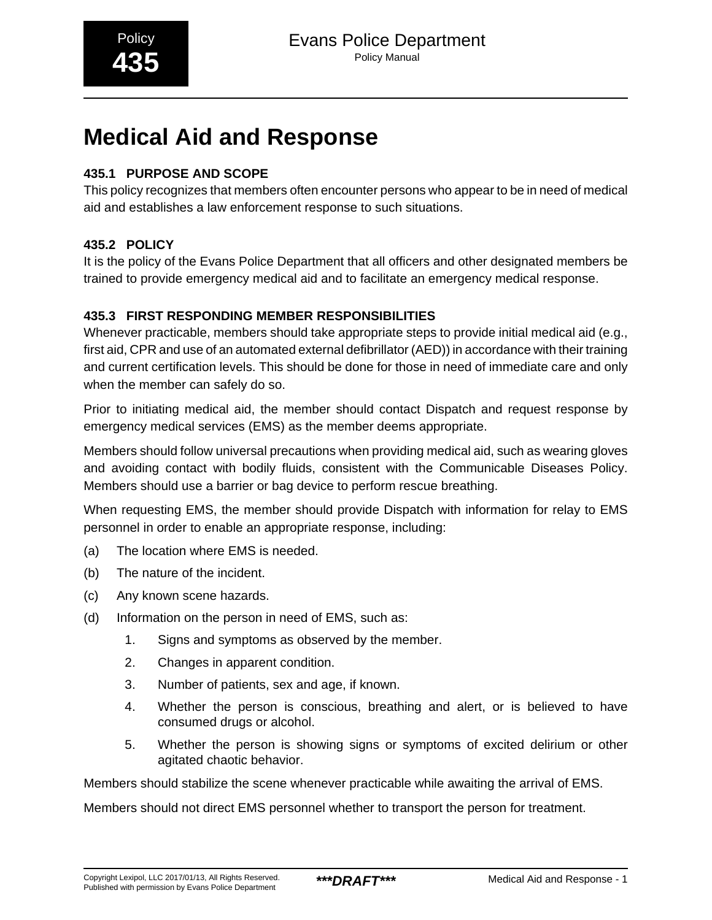# **Medical Aid and Response**

# **435.1 PURPOSE AND SCOPE**

This policy recognizes that members often encounter persons who appear to be in need of medical aid and establishes a law enforcement response to such situations.

## **435.2 POLICY**

It is the policy of the Evans Police Department that all officers and other designated members be trained to provide emergency medical aid and to facilitate an emergency medical response.

## **435.3 FIRST RESPONDING MEMBER RESPONSIBILITIES**

Whenever practicable, members should take appropriate steps to provide initial medical aid (e.g., first aid, CPR and use of an automated external defibrillator (AED)) in accordance with their training and current certification levels. This should be done for those in need of immediate care and only when the member can safely do so.

Prior to initiating medical aid, the member should contact Dispatch and request response by emergency medical services (EMS) as the member deems appropriate.

Members should follow universal precautions when providing medical aid, such as wearing gloves and avoiding contact with bodily fluids, consistent with the Communicable Diseases Policy. Members should use a barrier or bag device to perform rescue breathing.

When requesting EMS, the member should provide Dispatch with information for relay to EMS personnel in order to enable an appropriate response, including:

- (a) The location where EMS is needed.
- (b) The nature of the incident.
- (c) Any known scene hazards.
- (d) Information on the person in need of EMS, such as:
	- 1. Signs and symptoms as observed by the member.
	- 2. Changes in apparent condition.
	- 3. Number of patients, sex and age, if known.
	- 4. Whether the person is conscious, breathing and alert, or is believed to have consumed drugs or alcohol.
	- 5. Whether the person is showing signs or symptoms of excited delirium or other agitated chaotic behavior.

Members should stabilize the scene whenever practicable while awaiting the arrival of EMS.

Members should not direct EMS personnel whether to transport the person for treatment.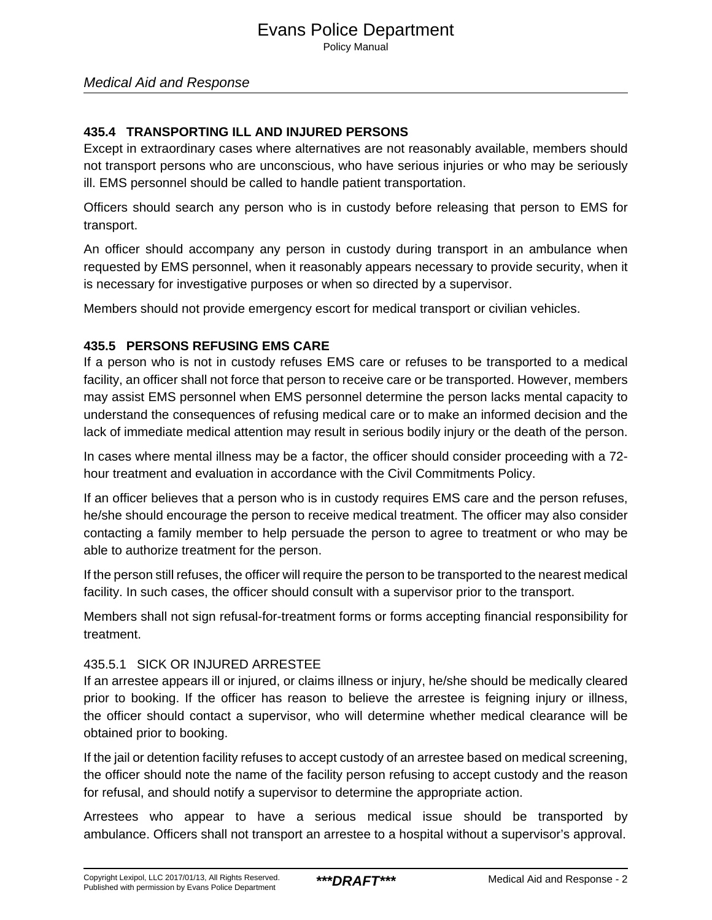## Medical Aid and Response

## **435.4 TRANSPORTING ILL AND INJURED PERSONS**

Except in extraordinary cases where alternatives are not reasonably available, members should not transport persons who are unconscious, who have serious injuries or who may be seriously ill. EMS personnel should be called to handle patient transportation.

Officers should search any person who is in custody before releasing that person to EMS for transport.

An officer should accompany any person in custody during transport in an ambulance when requested by EMS personnel, when it reasonably appears necessary to provide security, when it is necessary for investigative purposes or when so directed by a supervisor.

Members should not provide emergency escort for medical transport or civilian vehicles.

#### **435.5 PERSONS REFUSING EMS CARE**

If a person who is not in custody refuses EMS care or refuses to be transported to a medical facility, an officer shall not force that person to receive care or be transported. However, members may assist EMS personnel when EMS personnel determine the person lacks mental capacity to understand the consequences of refusing medical care or to make an informed decision and the lack of immediate medical attention may result in serious bodily injury or the death of the person.

In cases where mental illness may be a factor, the officer should consider proceeding with a 72 hour treatment and evaluation in accordance with the Civil Commitments Policy.

If an officer believes that a person who is in custody requires EMS care and the person refuses, he/she should encourage the person to receive medical treatment. The officer may also consider contacting a family member to help persuade the person to agree to treatment or who may be able to authorize treatment for the person.

If the person still refuses, the officer will require the person to be transported to the nearest medical facility. In such cases, the officer should consult with a supervisor prior to the transport.

Members shall not sign refusal-for-treatment forms or forms accepting financial responsibility for treatment.

### 435.5.1 SICK OR INJURED ARRESTEE

If an arrestee appears ill or injured, or claims illness or injury, he/she should be medically cleared prior to booking. If the officer has reason to believe the arrestee is feigning injury or illness, the officer should contact a supervisor, who will determine whether medical clearance will be obtained prior to booking.

If the jail or detention facility refuses to accept custody of an arrestee based on medical screening, the officer should note the name of the facility person refusing to accept custody and the reason for refusal, and should notify a supervisor to determine the appropriate action.

Arrestees who appear to have a serious medical issue should be transported by ambulance. Officers shall not transport an arrestee to a hospital without a supervisor's approval.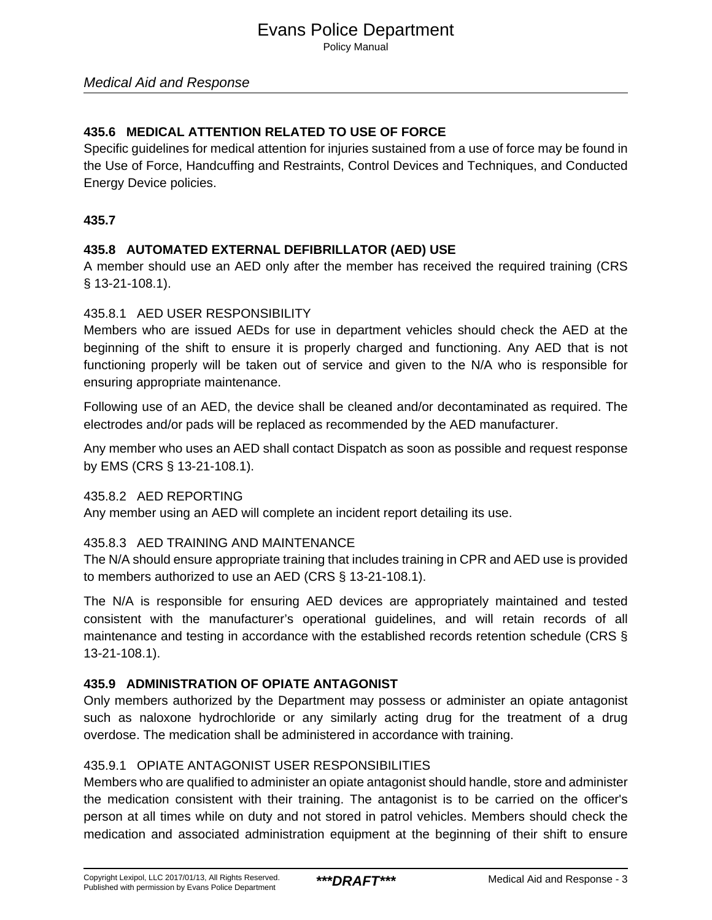## **435.6 MEDICAL ATTENTION RELATED TO USE OF FORCE**

Specific guidelines for medical attention for injuries sustained from a use of force may be found in the Use of Force, Handcuffing and Restraints, Control Devices and Techniques, and Conducted Energy Device policies.

## **435.7**

## **435.8 AUTOMATED EXTERNAL DEFIBRILLATOR (AED) USE**

A member should use an AED only after the member has received the required training (CRS § 13-21-108.1).

## 435.8.1 AED USER RESPONSIBILITY

Members who are issued AEDs for use in department vehicles should check the AED at the beginning of the shift to ensure it is properly charged and functioning. Any AED that is not functioning properly will be taken out of service and given to the N/A who is responsible for ensuring appropriate maintenance.

Following use of an AED, the device shall be cleaned and/or decontaminated as required. The electrodes and/or pads will be replaced as recommended by the AED manufacturer.

Any member who uses an AED shall contact Dispatch as soon as possible and request response by EMS (CRS § 13-21-108.1).

#### 435.8.2 AED REPORTING

Any member using an AED will complete an incident report detailing its use.

## 435.8.3 AED TRAINING AND MAINTENANCE

The N/A should ensure appropriate training that includes training in CPR and AED use is provided to members authorized to use an AED (CRS § 13-21-108.1).

The N/A is responsible for ensuring AED devices are appropriately maintained and tested consistent with the manufacturer's operational guidelines, and will retain records of all maintenance and testing in accordance with the established records retention schedule (CRS § 13-21-108.1).

## **435.9 ADMINISTRATION OF OPIATE ANTAGONIST**

Only members authorized by the Department may possess or administer an opiate antagonist such as naloxone hydrochloride or any similarly acting drug for the treatment of a drug overdose. The medication shall be administered in accordance with training.

## 435.9.1 OPIATE ANTAGONIST USER RESPONSIBILITIES

Members who are qualified to administer an opiate antagonist should handle, store and administer the medication consistent with their training. The antagonist is to be carried on the officer's person at all times while on duty and not stored in patrol vehicles. Members should check the medication and associated administration equipment at the beginning of their shift to ensure